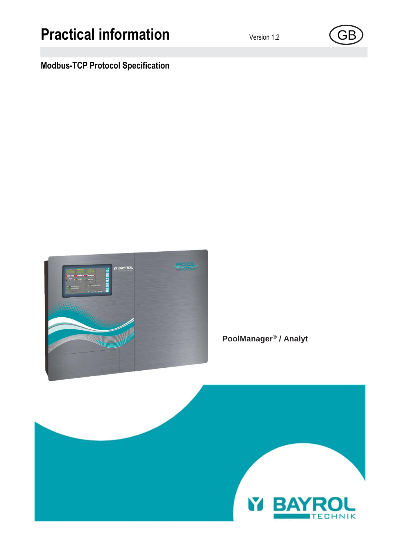# **Practical information** Version 1.2 (GB

## **Modbus-TCP Protocol Specification**



**PoolManager® / Analyt**

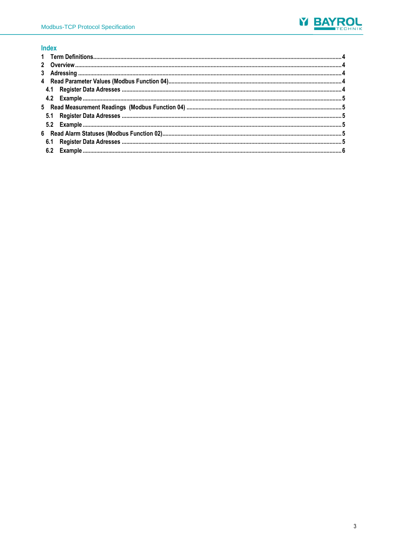

### Index

<span id="page-2-0"></span>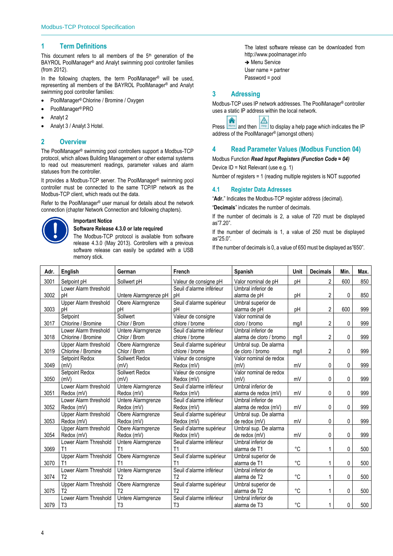#### **1 Term Definitions**

This document refers to all members of the  $5<sup>th</sup>$  generation of the BAYROL PoolManager® and Analyt swimming pool controller families (from 2012).

In the following chapters, the term PoolManager<sup>®</sup> will be used. representing all members of the BAYROL PoolManager® and Analyt swimming pool controller families:

- PoolManager® Chlorine / Bromine / Oxygen
- PoolManager® PRO
- Analyt 2
- <span id="page-3-0"></span>Analyt 3 / Analyt 3 Hotel.

#### **2 Overview**

The PoolManager® swimming pool controllers support a Modbus-TCP protocol, which allows Building Management or other external systems to read out measurement readings, parameter values and alarm statuses from the controller.

It provides a Modbus-TCP server. The PoolManager® swimming pool controller must be connected to the same TCP/IP network as the Modbus-TCP client, which reads out the data.

Refer to the PoolManager® user manual for details about the network connection (chapter Network Connection and following chapters).



#### **Important Notice**

#### **Software Release 4.3.0 or late required**

The Modbus-TCP protocol is available from software release 4.3.0 (May 2013). Controllers with a previous software release can easily be updated with a USB memory stick.

The latest software release can be downloaded from http://www.poolmanager.info  $\rightarrow$  Menu Service User name = partner Password = pool

#### <span id="page-3-1"></span>**3 Adressing**

Modbus-TCP uses IP network addresses. The PoolManager® controller uses a static IP address within the local network.

Press  $\frac{H_{\text{other}}}{H_{\text{other}}}$  and then  $\frac{H_{\text{other}}}{H_{\text{other}}}$  to display a help page which indicates the IP address of the PoolManager® (amongst others)

#### <span id="page-3-2"></span>**4 Read Parameter Values (Modbus Function 04)**

Modbus Function *Read Input Registers (Function Code = 04)*

Device ID = Not Relevant (use e.g. 1) Number of registers = 1 (reading multiple registers is NOT supported

#### <span id="page-3-3"></span>**4.1 Register Data Adresses**

"**Adr.**" Indicates the Modbus-TCP register address (decimal). "**Decimals**" indicates the number of decimals.

If the number of decimals is 2, a value of 720 must be displayed as"7.20".

If the number of decimals is 1, a value of 250 must be displayed as"25.0".

If the number of decimals is 0, a value of 650 must be displayed as"650".

| Adr. | English<br>German            |                       | French                   | <b>Spanish</b>          | Unit | <b>Decimals</b> | Min. | Max. |
|------|------------------------------|-----------------------|--------------------------|-------------------------|------|-----------------|------|------|
| 3001 | Setpoint pH                  | Sollwert pH           | Valeur de consigne pH    | Valor nominal de pH     | pH   | 2               | 600  | 850  |
|      | Lower Alarm threshold        |                       | Seuil d'alarme inférieur | Umbral inferior de      |      |                 |      |      |
| 3002 | pH                           | Untere Alarmgrenze pH | pH                       | alarma de pH            | pH   | 2               | 0    | 850  |
|      | Upper Alarm threshold        | Obere Alarmgrenze     | Seuil d'alarme supérieur | Umbral superior de      |      |                 |      |      |
| 3003 | pH                           | pH                    | pH                       | alarma de pH            | pH   | 2               | 600  | 999  |
|      | Setpoint                     | Sollwert              | Valeur de consigne       | Valor nominal de        |      |                 |      |      |
| 3017 | Chlorine / Bromine           | Chlor / Brom          | chlore / brome           | cloro / bromo           | mq/l | 2               | 0    | 999  |
|      | Lower Alarm threshold        | Untere Alarmgrenze    | Seuil d'alarme inférieur | Umbral inferior de      |      |                 |      |      |
| 3018 | Chlorine / Bromine           | Chlor / Brom          | chlore / brome           | alarma de cloro / bromo | mg/l | $\overline{c}$  | 0    | 999  |
|      | Upper Alarm threshold        | Obere Alarmgrenze     | Seuil d'alarme supérieur | Umbral sup. De alarma   |      |                 |      |      |
| 3019 | Chlorine / Bromine           | Chlor / Brom          | chlore / brome           | de cloro / bromo        | mq/l | 2               | 0    | 999  |
|      | Setpoint Redox               | Sollwert Redox        | Valeur de consigne       | Valor nominal de redox  |      |                 |      |      |
| 3049 | (mV)                         | (mV)                  | Redox (mV)               | (mV)                    | mV   | 0               | 0    | 999  |
|      | Setpoint Redox               | Sollwert Redox        | Valeur de consigne       | Valor nominal de redox  |      |                 |      |      |
| 3050 | (mV)                         | (mV)                  | Redox (mV)               | (mV)                    | mV   | 0               | 0    | 999  |
|      | Lower Alarm threshold        | Untere Alarmgrenze    | Seuil d'alarme inférieur | Umbral inferior de      |      |                 |      |      |
| 3051 | Redox (mV)                   | Redox (mV)            | Redox (mV)               | alarma de redox (mV)    | mV   | 0               | 0    | 999  |
|      | Lower Alarm threshold        | Untere Alarmgrenze    | Seuil d'alarme inférieur | Umbral inferior de      |      |                 |      |      |
| 3052 | Redox (mV)                   | Redox (mV)            | Redox (mV)               | alarma de redox (mV)    | mV   | 0               | 0    | 999  |
|      | Upper Alarm threshold        | Obere Alarmgrenze     | Seuil d'alarme supérieur | Umbral sup. De alarma   |      |                 |      |      |
| 3053 | Redox (mV)                   | Redox (mV)            | Redox (mV)               | de redox (mV)           | mV   | 0               | 0    | 999  |
|      | <b>Upper Alarm threshold</b> | Obere Alarmgrenze     | Seuil d'alarme supérieur | Umbral sup. De alarma   |      |                 |      |      |
| 3054 | Redox (mV)                   | Redox (mV)            | Redox (mV)               | de redox (mV)           | mV   | 0               | 0    | 999  |
|      | Lower Alarm Threshold        | Untere Alarmgrenze    | Seuil d'alarme inférieur | Umbral inferior de      |      |                 |      |      |
| 3069 | T <sub>1</sub>               | T <sub>1</sub>        | T <sub>1</sub>           | alarma de T1            | °C   | 1               | 0    | 500  |
|      | <b>Upper Alarm Threshold</b> | Obere Alarmgrenze     | Seuil d'alarme supérieur | Umbral superior de      |      |                 |      |      |
| 3070 | T1                           |                       | T <sub>1</sub>           | alarma de T1            | °C   |                 | 0    | 500  |
|      | Lower Alarm Threshold        | Untere Alarmgrenze    | Seuil d'alarme inférieur | Umbral inferior de      |      |                 |      |      |
| 3074 | T <sub>2</sub>               | T <sub>2</sub>        | T <sub>2</sub>           | alarma de T2            | °C   |                 | 0    | 500  |
|      | Upper Alarm Threshold        | Obere Alarmgrenze     | Seuil d'alarme supérieur | Umbral superior de      |      |                 |      |      |
| 3075 | T <sub>2</sub>               | T <sub>2</sub>        | T <sub>2</sub>           | alarma de T2            | °C   | 1               | 0    | 500  |
|      | Lower Alarm Threshold        | Untere Alarmgrenze    | Seuil d'alarme inférieur | Umbral inferior de      |      |                 |      |      |
| 3079 | T <sub>3</sub>               | T <sub>3</sub>        | T <sub>3</sub>           | alarma de T3            | °C   |                 | 0    | 500  |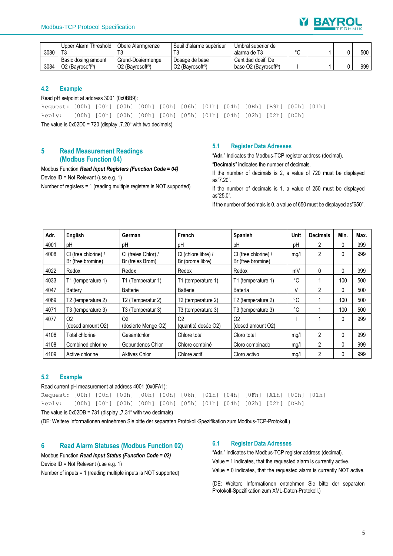

|      | Upper Alarm Threshold       | Obere Alarmgrenze                        | Seuil d'alarme supérieur     | Umbral superior de                |        |  |     |
|------|-----------------------------|------------------------------------------|------------------------------|-----------------------------------|--------|--|-----|
| 3080 |                             |                                          |                              | alarma de T3                      | $\sim$ |  | 500 |
|      | Basic dosing amount         | Grund-Dosiermenge                        | Dosage de base               | Cantidad dosif, De                |        |  |     |
| 3084 | O2 (Bavrosoft <sup>®)</sup> | O <sub>2</sub> (Bayrosoft <sup>®</sup> ) | O2 (Bavrosoft <sup>®</sup> ) | base O2 (Bavrosoft <sup>®</sup> ) |        |  | 999 |

#### <span id="page-4-0"></span>**4.2 Example**

#### Read pH setpoint at address 3001 (0x0BB9):

| The value is $0x02D0 = 720$ (display "7.20" with two decimals)                   |  |  |  |  |  |  |  |  |  |  |  |
|----------------------------------------------------------------------------------|--|--|--|--|--|--|--|--|--|--|--|
| Reply: [00h] [00h] [00h] [00h] [00h] [05h] [01h] [04h] [02h] [02h] [D0h]         |  |  |  |  |  |  |  |  |  |  |  |
| Request: [00h] [00h] [00h] [00h] [00h] [06h] [01h] [04h] [0Bh] [B9h] [00h] [01h] |  |  |  |  |  |  |  |  |  |  |  |

#### <span id="page-4-1"></span>**5 Read Measurement Readings (Modbus Function 04)**

Modbus Function *Read Input Registers (Function Code = 04)* Device ID = Not Relevant (use e.g. 1) Number of registers = 1 (reading multiple registers is NOT supported)

#### <span id="page-4-2"></span>**5.1 Register Data Adresses**

"**Adr.**" Indicates the Modbus-TCP register address (decimal).

"**Decimals**" indicates the number of decimals.

If the number of decimals is 2, a value of 720 must be displayed as"7.20".

If the number of decimals is 1, a value of 250 must be displayed as"25.0".

If the number of decimals is 0, a value of 650 must be displayed as"650".

| Adr. | English                                             | German                                        | French                                  | <b>Spanish</b>                            | <b>Unit</b> | <b>Decimals</b> | Min. | Max. |
|------|-----------------------------------------------------|-----------------------------------------------|-----------------------------------------|-------------------------------------------|-------------|-----------------|------|------|
| 4001 | pH                                                  | pH                                            | pH                                      | рH                                        | pH          | 2               | 0    | 999  |
| 4008 | CI (free chlorine) /<br>Br (free bromine)           | CI (freies Chlor) /<br>Br (freies Brom)       | CI (chlore libre) /<br>Br (brome libre) | CI (free chlorine) /<br>Br (free bromine) | mq/l        | 2               | 0    | 999  |
| 4022 | Redox                                               | Redox                                         | Redox                                   | Redox                                     | mV          | 0               | 0    | 999  |
| 4033 | T1 (temperature 1)                                  | (Temperatur 1)<br>Τ1                          | T1 (temperature 1)                      | T1 (temperature 1)                        | °C          |                 | 100  | 500  |
| 4047 | Battery                                             | <b>Batterie</b>                               | <b>Batterie</b>                         | Batería                                   | V           | 2               | 0    | 500  |
| 4069 | T2 (temperature 2)<br>T2 (Temperatur 2)             |                                               | T2 (temperature 2)                      | T2 (temperature 2)                        | °C          |                 | 100  | 500  |
| 4071 | T <sub>3</sub> (temperature 3)<br>T3 (Temperatur 3) |                                               | T3 (temperature 3)                      | T3 (temperature 3)                        | °C          |                 | 100  | 500  |
| 4077 | O <sub>2</sub><br>(dosed amount O2)                 | O <sub>2</sub><br>(dosierte Menge O2)         | O <sub>2</sub><br>(quantité dosée O2)   | O <sub>2</sub><br>(dosed amount O2)       |             |                 | 0    | 999  |
| 4106 | Total chlorine<br>Gesamtchlor                       |                                               | Chlore total                            | Cloro total                               | mg/l        | 2               | 0    | 999  |
| 4108 | Combined chlorine<br>Gebundenes Chlor               |                                               | Chlore combiné                          | Cloro combinado                           | mg/l        | 2               | 0    | 999  |
| 4109 | Active chlorine                                     | Aktives Chlor<br>Chlore actif<br>Cloro activo |                                         |                                           | mq/1        | 2               | 0    | 999  |

#### <span id="page-4-3"></span>**5.2 Example**

Read current pH measurement at address 4001 (0x0FA1): Request: [00h] [00h] [00h] [00h] [00h] [06h] [01h] [04h] [0Fh] [A1h] [00h] [01h] Reply: [00h] [00h] [00h] [00h] [00h] [05h] [01h] [04h] [02h] [02h] [DBh] The value is  $0x02DB = 731$  (display  $,7.31$ " with two decimals)

(DE: Weitere Informationen entnehmen Sie bitte der separaten Protokoll-Spezifikation zum Modbus-TCP-Protokoll.)

#### <span id="page-4-4"></span>**6 Read Alarm Statuses (Modbus Function 02)**

#### Modbus Function *Read Input Status (Function Code = 02)*

Device ID = Not Relevant (use e.g. 1)

Number of inputs = 1 (reading multiple inputs is NOT supported)

#### <span id="page-4-5"></span>**6.1 Register Data Adresses**

"**Adr.**" indicates the Modbus-TCP register address (decimal). Value = 1 indicates, that the requested alarm is currently active. Value = 0 indicates, that the requested alarm is currently NOT active.

(DE: Weitere Informationen entnehmen Sie bitte der separaten Protokoll-Spezifikation zum XML-Daten-Protokoll.)